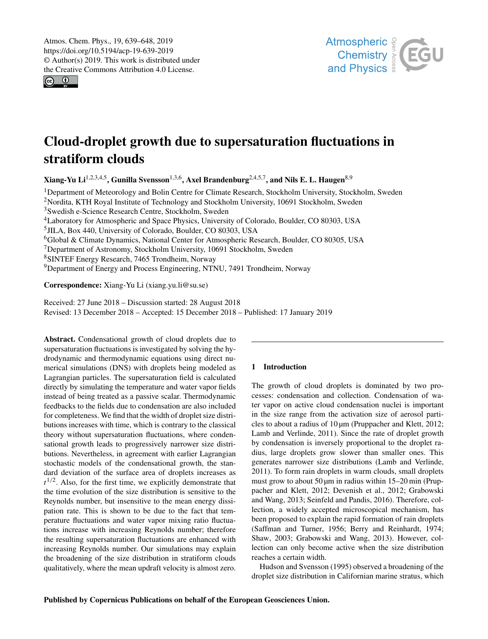<span id="page-0-1"></span> $\circ$   $\circ$ 



# Cloud-droplet growth due to supersaturation fluctuations in stratiform clouds

Xiang-Yu Li $^{1,2,3,4,5}$  $^{1,2,3,4,5}$  $^{1,2,3,4,5}$ , Gunilla Svensson $^{1,3,6}$  $^{1,3,6}$  $^{1,3,6}$ , Axel Brandenburg $^{2,4,5,7}$  $^{2,4,5,7}$  $^{2,4,5,7}$ , and Nils E. L. Haugen $^{8,9}$  $^{8,9}$  $^{8,9}$ 

<sup>1</sup>Department of Meteorology and Bolin Centre for Climate Research, Stockholm University, Stockholm, Sweden <sup>2</sup>Nordita, KTH Royal Institute of Technology and Stockholm University, 10691 Stockholm, Sweden Swedish e-Science Research Centre, Stockholm, Sweden Laboratory for Atmospheric and Space Physics, University of Colorado, Boulder, CO 80303, USA JILA, Box 440, University of Colorado, Boulder, CO 80303, USA Global & Climate Dynamics, National Center for Atmospheric Research, Boulder, CO 80305, USA Department of Astronomy, Stockholm University, 10691 Stockholm, Sweden SINTEF Energy Research, 7465 Trondheim, Norway Department of Energy and Process Engineering, NTNU, 7491 Trondheim, Norway

Correspondence: Xiang-Yu Li (xiang.yu.li@su.se)

Received: 27 June 2018 – Discussion started: 28 August 2018 Revised: 13 December 2018 – Accepted: 15 December 2018 – Published: 17 January 2019

<span id="page-0-0"></span>Abstract. Condensational growth of cloud droplets due to supersaturation fluctuations is investigated by solving the hydrodynamic and thermodynamic equations using direct numerical simulations (DNS) with droplets being modeled as Lagrangian particles. The supersaturation field is calculated directly by simulating the temperature and water vapor fields instead of being treated as a passive scalar. Thermodynamic feedbacks to the fields due to condensation are also included for completeness. We find that the width of droplet size distributions increases with time, which is contrary to the classical theory without supersaturation fluctuations, where condensational growth leads to progressively narrower size distributions. Nevertheless, in agreement with earlier Lagrangian stochastic models of the condensational growth, the standard deviation of the surface area of droplets increases as  $t^{1/2}$ . Also, for the first time, we explicitly demonstrate that the time evolution of the size distribution is sensitive to the Reynolds number, but insensitive to the mean energy dissipation rate. This is shown to be due to the fact that temperature fluctuations and water vapor mixing ratio fluctuations increase with increasing Reynolds number; therefore the resulting supersaturation fluctuations are enhanced with increasing Reynolds number. Our simulations may explain the broadening of the size distribution in stratiform clouds qualitatively, where the mean updraft velocity is almost zero.

# 1 Introduction

The growth of cloud droplets is dominated by two processes: condensation and collection. Condensation of water vapor on active cloud condensation nuclei is important in the size range from the activation size of aerosol particles to about a radius of 10 µm [\(Pruppacher and Klett,](#page-9-0) [2012;](#page-9-0) [Lamb and Verlinde,](#page-9-1) [2011\)](#page-9-1). Since the rate of droplet growth by condensation is inversely proportional to the droplet radius, large droplets grow slower than smaller ones. This generates narrower size distributions [\(Lamb and Verlinde,](#page-9-1) [2011\)](#page-9-1). To form rain droplets in warm clouds, small droplets must grow to about 50  $\mu$ m in radius within 15–20 min [\(Prup](#page-9-0)[pacher and Klett,](#page-9-0) [2012;](#page-9-0) [Devenish et al.,](#page-8-0) [2012;](#page-8-0) [Grabowski](#page-8-1) [and Wang,](#page-8-1) [2013;](#page-8-1) [Seinfeld and Pandis,](#page-9-2) [2016\)](#page-9-2). Therefore, collection, a widely accepted microscopical mechanism, has been proposed to explain the rapid formation of rain droplets [\(Saffman and Turner,](#page-9-3) [1956;](#page-9-3) [Berry and Reinhardt,](#page-8-2) [1974;](#page-8-2) [Shaw,](#page-9-4) [2003;](#page-9-4) [Grabowski and Wang,](#page-8-1) [2013\)](#page-8-1). However, collection can only become active when the size distribution reaches a certain width.

[Hudson and Svensson](#page-8-3) [\(1995\)](#page-8-3) observed a broadening of the droplet size distribution in Californian marine stratus, which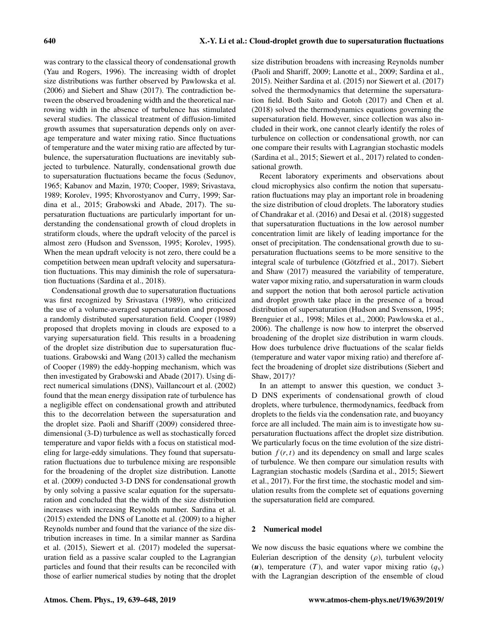was contrary to the classical theory of condensational growth [\(Yau and Rogers,](#page-9-5) [1996\)](#page-9-5). The increasing width of droplet size distributions was further observed by [Pawlowska et al.](#page-9-6) [\(2006\)](#page-9-6) and [Siebert and Shaw](#page-9-7) [\(2017\)](#page-9-7). The contradiction between the observed broadening width and the theoretical narrowing width in the absence of turbulence has stimulated several studies. The classical treatment of diffusion-limited growth assumes that supersaturation depends only on average temperature and water mixing ratio. Since fluctuations of temperature and the water mixing ratio are affected by turbulence, the supersaturation fluctuations are inevitably subjected to turbulence. Naturally, condensational growth due to supersaturation fluctuations became the focus [\(Sedunov,](#page-9-8) [1965;](#page-9-8) [Kabanov and Mazin,](#page-9-9) [1970;](#page-9-9) [Cooper,](#page-8-4) [1989;](#page-8-4) [Srivastava,](#page-9-10) [1989;](#page-9-10) [Korolev,](#page-9-11) [1995;](#page-9-11) [Khvorostyanov and Curry,](#page-9-12) [1999;](#page-9-12) [Sar](#page-9-13)[dina et al.,](#page-9-13) [2015;](#page-9-13) [Grabowski and Abade,](#page-8-5) [2017\)](#page-8-5). The supersaturation fluctuations are particularly important for understanding the condensational growth of cloud droplets in stratiform clouds, where the updraft velocity of the parcel is almost zero [\(Hudson and Svensson,](#page-8-3) [1995;](#page-8-3) [Korolev,](#page-9-11) [1995\)](#page-9-11). When the mean updraft velocity is not zero, there could be a competition between mean updraft velocity and supersaturation fluctuations. This may diminish the role of supersaturation fluctuations [\(Sardina et al.,](#page-9-14) [2018\)](#page-9-14).

Condensational growth due to supersaturation fluctuations was first recognized by [Srivastava](#page-9-10) [\(1989\)](#page-9-10), who criticized the use of a volume-averaged supersaturation and proposed a randomly distributed supersaturation field. [Cooper](#page-8-4) [\(1989\)](#page-8-4) proposed that droplets moving in clouds are exposed to a varying supersaturation field. This results in a broadening of the droplet size distribution due to supersaturation fluctuations. [Grabowski and Wang](#page-8-1) [\(2013\)](#page-8-1) called the mechanism of [Cooper](#page-8-4) [\(1989\)](#page-8-4) the eddy-hopping mechanism, which was then investigated by [Grabowski and Abade](#page-8-5) [\(2017\)](#page-8-5). Using direct numerical simulations (DNS), [Vaillancourt et al.](#page-9-15) [\(2002\)](#page-9-15) found that the mean energy dissipation rate of turbulence has a negligible effect on condensational growth and attributed this to the decorrelation between the supersaturation and the droplet size. [Paoli and Shariff](#page-9-16) [\(2009\)](#page-9-16) considered threedimensional (3-D) turbulence as well as stochastically forced temperature and vapor fields with a focus on statistical modeling for large-eddy simulations. They found that supersaturation fluctuations due to turbulence mixing are responsible for the broadening of the droplet size distribution. [Lanotte](#page-9-17) [et al.](#page-9-17) [\(2009\)](#page-9-17) conducted 3-D DNS for condensational growth by only solving a passive scalar equation for the supersaturation and concluded that the width of the size distribution increases with increasing Reynolds number. [Sardina et al.](#page-9-13) [\(2015\)](#page-9-13) extended the DNS of [Lanotte et al.](#page-9-17) [\(2009\)](#page-9-17) to a higher Reynolds number and found that the variance of the size distribution increases in time. In a similar manner as [Sardina](#page-9-13) [et al.](#page-9-13) [\(2015\)](#page-9-13), [Siewert et al.](#page-9-18) [\(2017\)](#page-9-18) modeled the supersaturation field as a passive scalar coupled to the Lagrangian particles and found that their results can be reconciled with those of earlier numerical studies by noting that the droplet size distribution broadens with increasing Reynolds number [\(Paoli and Shariff,](#page-9-16) [2009;](#page-9-16) [Lanotte et al.,](#page-9-17) [2009;](#page-9-17) [Sardina et al.,](#page-9-13) [2015\)](#page-9-13). Neither [Sardina et al.](#page-9-13) [\(2015\)](#page-9-13) nor [Siewert et al.](#page-9-18) [\(2017\)](#page-9-18) solved the thermodynamics that determine the supersaturation field. Both [Saito and Gotoh](#page-9-19) [\(2017\)](#page-9-19) and [Chen et al.](#page-8-6) [\(2018\)](#page-8-6) solved the thermodynamics equations governing the supersaturation field. However, since collection was also included in their work, one cannot clearly identify the roles of turbulence on collection or condensational growth, nor can one compare their results with Lagrangian stochastic models [\(Sardina et al.,](#page-9-13) [2015;](#page-9-13) [Siewert et al.,](#page-9-18) [2017\)](#page-9-18) related to condensational growth.

Recent laboratory experiments and observations about cloud microphysics also confirm the notion that supersaturation fluctuations may play an important role in broadening the size distribution of cloud droplets. The laboratory studies of [Chandrakar et al.](#page-8-7) [\(2016\)](#page-8-7) and [Desai et al.](#page-8-8) [\(2018\)](#page-8-8) suggested that supersaturation fluctuations in the low aerosol number concentration limit are likely of leading importance for the onset of precipitation. The condensational growth due to supersaturation fluctuations seems to be more sensitive to the integral scale of turbulence [\(Götzfried et al.,](#page-8-9) [2017\)](#page-8-9). [Siebert](#page-9-7) [and Shaw](#page-9-7) [\(2017\)](#page-9-7) measured the variability of temperature, water vapor mixing ratio, and supersaturation in warm clouds and support the notion that both aerosol particle activation and droplet growth take place in the presence of a broad distribution of supersaturation [\(Hudson and Svensson,](#page-8-3) [1995;](#page-8-3) [Brenguier et al.,](#page-8-10) [1998;](#page-8-10) [Miles et al.,](#page-9-20) [2000;](#page-9-20) [Pawlowska et al.,](#page-9-6) [2006\)](#page-9-6). The challenge is now how to interpret the observed broadening of the droplet size distribution in warm clouds. How does turbulence drive fluctuations of the scalar fields (temperature and water vapor mixing ratio) and therefore affect the broadening of droplet size distributions [\(Siebert and](#page-9-7) [Shaw,](#page-9-7) [2017\)](#page-9-7)?

In an attempt to answer this question, we conduct 3- D DNS experiments of condensational growth of cloud droplets, where turbulence, thermodynamics, feedback from droplets to the fields via the condensation rate, and buoyancy force are all included. The main aim is to investigate how supersaturation fluctuations affect the droplet size distribution. We particularly focus on the time evolution of the size distribution  $f(r, t)$  and its dependency on small and large scales of turbulence. We then compare our simulation results with Lagrangian stochastic models [\(Sardina et al.,](#page-9-13) [2015;](#page-9-13) [Siewert](#page-9-18) [et al.,](#page-9-18) [2017\)](#page-9-18). For the first time, the stochastic model and simulation results from the complete set of equations governing the supersaturation field are compared.

# 2 Numerical model

We now discuss the basic equations where we combine the Eulerian description of the density  $(\rho)$ , turbulent velocity (*u*), temperature (*T*), and water vapor mixing ratio ( $q_v$ ) with the Lagrangian description of the ensemble of cloud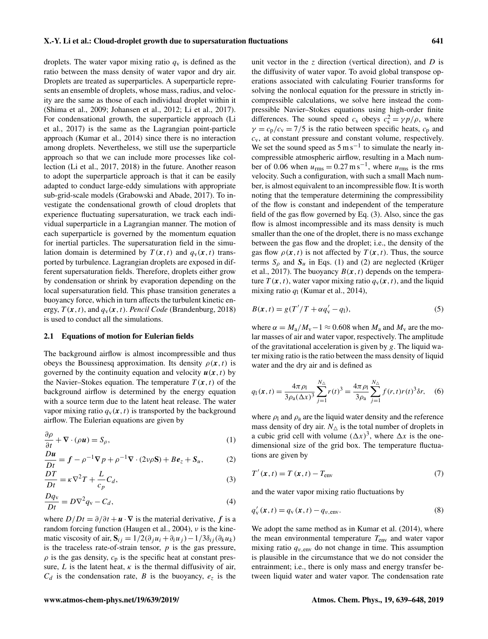#### X.-Y. Li et al.: Cloud-droplet growth due to supersaturation fluctuations 641

droplets. The water vapor mixing ratio  $q<sub>v</sub>$  is defined as the ratio between the mass density of water vapor and dry air. Droplets are treated as superparticles. A superparticle represents an ensemble of droplets, whose mass, radius, and velocity are the same as those of each individual droplet within it [\(Shima et al.,](#page-9-21) [2009;](#page-9-21) [Johansen et al.,](#page-9-22) [2012;](#page-9-22) [Li et al.,](#page-9-23) [2017\)](#page-9-23). For condensational growth, the superparticle approach [\(Li](#page-9-23) [et al.,](#page-9-23) [2017\)](#page-9-23) is the same as the Lagrangian point-particle approach [\(Kumar et al.,](#page-9-24) [2014\)](#page-9-24) since there is no interaction among droplets. Nevertheless, we still use the superparticle approach so that we can include more processes like collection [\(Li et al.,](#page-9-23) [2017,](#page-9-23) [2018\)](#page-9-25) in the future. Another reason to adopt the superparticle approach is that it can be easily adapted to conduct large-eddy simulations with appropriate sub-grid-scale models [\(Grabowski and Abade,](#page-8-5) [2017\)](#page-8-5). To investigate the condensational growth of cloud droplets that experience fluctuating supersaturation, we track each individual superparticle in a Lagrangian manner. The motion of each superparticle is governed by the momentum equation for inertial particles. The supersaturation field in the simulation domain is determined by  $T(\mathbf{x},t)$  and  $q_{\text{v}}(\mathbf{x},t)$  transported by turbulence. Lagrangian droplets are exposed in different supersaturation fields. Therefore, droplets either grow by condensation or shrink by evaporation depending on the local supersaturation field. This phase transition generates a buoyancy force, which in turn affects the turbulent kinetic energy,  $T(x, t)$ , and  $q_y(x, t)$ . *Pencil Code* [\(Brandenburg,](#page-8-11) [2018\)](#page-8-11) is used to conduct all the simulations.

#### <span id="page-2-3"></span>2.1 Equations of motion for Eulerian fields

The background airflow is almost incompressible and thus obeys the Boussinesq approximation. Its density  $\rho(x, t)$  is governed by the continuity equation and velocity  $u(x, t)$  by the Navier–Stokes equation. The temperature  $T(\mathbf{x},t)$  of the background airflow is determined by the energy equation with a source term due to the latent heat release. The water vapor mixing ratio  $q_v(x, t)$  is transported by the background airflow. The Eulerian equations are given by

$$
\frac{\partial \rho}{\partial t} + \nabla \cdot (\rho \mathbf{u}) = S_{\rho},\tag{1}
$$

$$
\frac{D\mathbf{u}}{Dt} = \mathbf{f} - \rho^{-1}\nabla p + \rho^{-1}\nabla \cdot (2\nu\rho \mathbf{S}) + B\mathbf{e}_z + \mathbf{S}_u,\tag{2}
$$

$$
\frac{DT}{Dt} = \kappa \nabla^2 T + \frac{L}{c_p} C_d,
$$
\n(3)

$$
\frac{Dq_{\rm v}}{Dt} = D\nabla^2 q_{\rm v} - C_d,\tag{4}
$$

where  $D/Dt = \partial/\partial t + \mathbf{u} \cdot \nabla$  is the material derivative, f is a random forcing function [\(Haugen et al.,](#page-8-12) [2004\)](#page-8-12), ν is the kinematic viscosity of air,  $S_{ij} = 1/2(\partial_j u_i + \partial_i u_j) - 1/3\delta_{ij}(\partial_k u_k)$ is the traceless rate-of-strain tensor,  $p$  is the gas pressure,  $\rho$  is the gas density,  $c_p$  is the specific heat at constant pressure, L is the latent heat,  $\kappa$  is the thermal diffusivity of air,  $C_d$  is the condensation rate, B is the buoyancy,  $e_z$  is the unit vector in the z direction (vertical direction), and  $D$  is the diffusivity of water vapor. To avoid global transpose operations associated with calculating Fourier transforms for solving the nonlocal equation for the pressure in strictly incompressible calculations, we solve here instead the compressible Navier–Stokes equations using high-order finite differences. The sound speed  $c_s$  obeys  $c_s^2 = \gamma p/\rho$ , where  $\gamma = c_p/c_v = 7/5$  is the ratio between specific heats,  $c_p$  and  $c_v$ , at constant pressure and constant volume, respectively. We set the sound speed as  $5 \text{ m s}^{-1}$  to simulate the nearly incompressible atmospheric airflow, resulting in a Mach number of 0.06 when  $u_{\text{rms}} = 0.27 \text{ m s}^{-1}$ , where  $u_{\text{rms}}$  is the rms velocity. Such a configuration, with such a small Mach number, is almost equivalent to an incompressible flow. It is worth noting that the temperature determining the compressibility of the flow is constant and independent of the temperature field of the gas flow governed by Eq. [\(3\)](#page-2-0). Also, since the gas flow is almost incompressible and its mass density is much smaller than the one of the droplet, there is no mass exchange between the gas flow and the droplet; i.e., the density of the gas flow  $\rho(x, t)$  is not affected by  $T(x, t)$ . Thus, the source terms  $S_\rho$  and  $S_u$  in Eqs. [\(1\)](#page-2-1) and [\(2\)](#page-2-2) are neglected [\(Krüger](#page-9-26) [et al.,](#page-9-26) [2017\)](#page-9-26). The buoyancy  $B(x, t)$  depends on the temperature  $T(\mathbf{x},t)$ , water vapor mixing ratio  $q_{\rm v}(\mathbf{x},t)$ , and the liquid mixing ratio  $q_1$  [\(Kumar et al.,](#page-9-24) [2014\)](#page-9-24),

$$
B(x,t) = g(T'/T + \alpha q'_v - q_1),\tag{5}
$$

where  $\alpha = M_a/M_v-1 \approx 0.608$  when  $M_a$  and  $M_v$  are the molar masses of air and water vapor, respectively. The amplitude of the gravitational acceleration is given by  $g$ . The liquid water mixing ratio is the ratio between the mass density of liquid water and the dry air and is defined as

$$
q_1(\mathbf{x},t) = \frac{4\pi \rho_1}{3\rho_a(\Delta x)^3} \sum_{j=1}^{N_{\Delta}} r(t)^3 = \frac{4\pi \rho_1}{3\rho_a} \sum_{j=1}^{N_{\Delta}} f(r,t)r(t)^3 \delta r, \quad (6)
$$

<span id="page-2-1"></span>where  $\rho_1$  and  $\rho_a$  are the liquid water density and the reference mass density of dry air.  $N_{\Delta}$  is the total number of droplets in a cubic grid cell with volume  $(\Delta x)^3$ , where  $\Delta x$  is the onedimensional size of the grid box. The temperature fluctuations are given by

<span id="page-2-2"></span><span id="page-2-0"></span>
$$
T'(x,t) = T(x,t) - T_{env}
$$
\n(7)

and the water vapor mixing ratio fluctuations by

$$
q'_{v}(\boldsymbol{x},t) = q_{v}(\boldsymbol{x},t) - q_{v,\text{env}}.
$$
\n(8)

We adopt the same method as in [Kumar et al.](#page-9-24)  $(2014)$ , where the mean environmental temperature  $T_{env}$  and water vapor mixing ratio  $q_{v,env}$  do not change in time. This assumption is plausible in the circumstance that we do not consider the entrainment; i.e., there is only mass and energy transfer between liquid water and water vapor. The condensation rate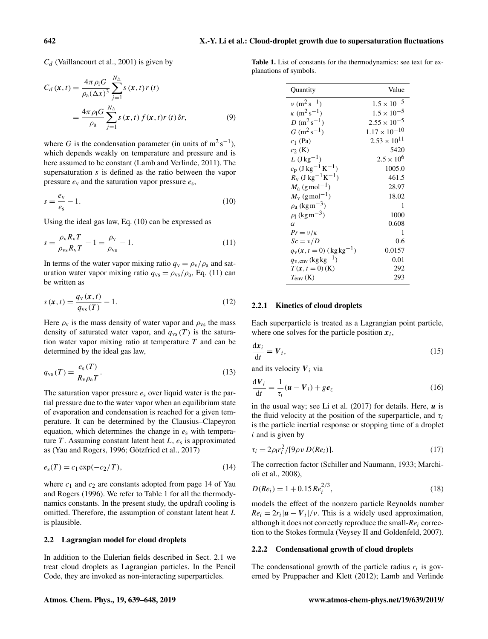$C_d$  [\(Vaillancourt et al.,](#page-9-27) [2001\)](#page-9-27) is given by

$$
C_d(\mathbf{x},t) = \frac{4\pi \rho_1 G}{\rho_a (\Delta x)^3} \sum_{j=1}^{N_{\Delta}} s(\mathbf{x},t) r(t)
$$
  
= 
$$
\frac{4\pi \rho_1 G}{\rho_a} \sum_{j=1}^{N_{\Delta}} s(\mathbf{x},t) f(\mathbf{x},t) r(t) \delta r,
$$
 (9)

where G is the condensation parameter (in units of  $m^2 s^{-1}$ ), which depends weakly on temperature and pressure and is here assumed to be constant [\(Lamb and Verlinde,](#page-9-1) [2011\)](#page-9-1). The supersaturation s is defined as the ratio between the vapor pressure  $e_y$  and the saturation vapor pressure  $e_s$ ,

$$
s = \frac{e_v}{e_s} - 1.\tag{10}
$$

Using the ideal gas law, Eq. [\(10\)](#page-3-0) can be expressed as

$$
s = \frac{\rho_{\rm v} R_{\rm v} T}{\rho_{\rm vs} R_{\rm v} T} - 1 = \frac{\rho_{\rm v}}{\rho_{\rm vs}} - 1.
$$
\n(11)

<span id="page-3-5"></span>In terms of the water vapor mixing ratio  $q_v = \rho_v / \rho_a$  and saturation water vapor mixing ratio  $q_{vs} = \rho_{vs}/\rho_a$ , Eq. [\(11\)](#page-3-1) can be written as

$$
s\left(\mathbf{x},t\right) = \frac{q_{\rm v}\left(\mathbf{x},t\right)}{q_{\rm vs}\left(T\right)} - 1.\tag{12}
$$

Here  $\rho_v$  is the mass density of water vapor and  $\rho_{vs}$  the mass density of saturated water vapor, and  $q_{vs}(T)$  is the saturation water vapor mixing ratio at temperature  $T$  and can be determined by the ideal gas law,

<span id="page-3-4"></span>
$$
q_{\rm vs}(T) = \frac{e_{\rm s}(T)}{R_{\rm v}\rho_{\rm a}T}.\tag{13}
$$

The saturation vapor pressure  $e_s$  over liquid water is the partial pressure due to the water vapor when an equilibrium state of evaporation and condensation is reached for a given temperature. It can be determined by the Clausius–Clapeyron equation, which determines the change in  $e_s$  with temperature  $T$ . Assuming constant latent heat  $L$ ,  $e_s$  is approximated as [\(Yau and Rogers,](#page-9-5) [1996;](#page-9-5) [Götzfried et al.,](#page-8-9) [2017\)](#page-8-9)

$$
e_{s}(T) = c_{1} \exp(-c_{2}/T), \tag{14}
$$

where  $c_1$  and  $c_2$  are constants adopted from page 14 of [Yau](#page-9-5) [and Rogers](#page-9-5) [\(1996\)](#page-9-5). We refer to Table [1](#page-3-2) for all the thermodynamics constants. In the present study, the updraft cooling is omitted. Therefore, the assumption of constant latent heat L is plausible.

#### 2.2 Lagrangian model for cloud droplets

In addition to the Eulerian fields described in Sect. [2.1](#page-2-3) we treat cloud droplets as Lagrangian particles. In the Pencil Code, they are invoked as non-interacting superparticles.

<span id="page-3-2"></span>Table 1. List of constants for the thermodynamics: see text for explanations of symbols.

<span id="page-3-0"></span>

| Quantity                                          | Value                  |
|---------------------------------------------------|------------------------|
| $\nu$ (m <sup>2</sup> s <sup>-1</sup> )           | $1.5 \times 10^{-5}$   |
| $\kappa$ (m <sup>2</sup> s <sup>-1</sup> )        | $1.5 \times 10^{-5}$   |
| $D(m^2s^{-1})$                                    | $2.55 \times 10^{-5}$  |
| $G$ (m <sup>2</sup> s <sup>-1</sup> )             | $1.17 \times 10^{-10}$ |
| $c_1$ (Pa)                                        | $2.53 \times 10^{11}$  |
| $c_2$ (K)                                         | 5420                   |
| L (J kg <sup>-1</sup> )                           | $2.5 \times 10^{6}$    |
| $c_p$ (J kg <sup>-1</sup> K <sup>-1</sup> )       | 1005.0                 |
| $R_{\rm v}$ (J kg <sup>-1</sup> K <sup>-1</sup> ) | 461.5                  |
| $M_a$ (g mol <sup>-1</sup> )                      | 28.97                  |
| $M_{\rm V}$ (g mol <sup>-1</sup> )                | 18.02                  |
| $\rho_a$ (kg m <sup>-3</sup> )                    | 1                      |
| $\rho_1$ (kg m <sup>-3</sup> )                    | 1000                   |
| $\alpha$                                          | 0.608                  |
| $Pr = v/\kappa$                                   | 1                      |
| $Sc = v/D$                                        | 0.6                    |
| $q_{v}(x, t=0)$ (kg kg <sup>-1</sup> )            | 0.0157                 |
| $q_{v,env}$ (kg kg <sup>-1</sup> )                | 0.01                   |
| $T(x, t = 0)$ (K)                                 | 292                    |
| $T_{\text{env}}\text{ (K)}$                       | 293                    |

# <span id="page-3-1"></span>2.2.1 Kinetics of cloud droplets

Each superparticle is treated as a Lagrangian point particle, where one solves for the particle position  $x_i$ ,

$$
\frac{\mathrm{d}x_i}{\mathrm{d}t} = V_i,\tag{15}
$$

and its velocity  $V_i$  via

$$
\frac{\mathrm{d}V_i}{\mathrm{d}t} = \frac{1}{\tau_i}(\boldsymbol{u} - \boldsymbol{V}_i) + g\boldsymbol{e}_z \tag{16}
$$

in the usual way; see [Li et al.](#page-9-23)  $(2017)$  for details. Here,  $\boldsymbol{u}$  is the fluid velocity at the position of the superparticle, and  $\tau_i$ is the particle inertial response or stopping time of a droplet  $i$  and is given by

<span id="page-3-3"></span>
$$
\tau_i = 2\rho_l r_i^2 / [9\rho v D(Re_i)].
$$
\n(17)

The correction factor [\(Schiller and Naumann,](#page-9-28) [1933;](#page-9-28) [Marchi](#page-9-29)[oli et al.,](#page-9-29) [2008\)](#page-9-29),

$$
D(Re_i) = 1 + 0.15 Re_i^{2/3},\tag{18}
$$

models the effect of the nonzero particle Reynolds number  $Re_i = 2r_i |\mathbf{u} - \mathbf{V}_i| / v$ . This is a widely used approximation, although it does not correctly reproduce the small-*Re*<sup>i</sup> correction to the Stokes formula [\(Veysey II and Goldenfeld,](#page-9-30) [2007\)](#page-9-30).

# 2.2.2 Condensational growth of cloud droplets

The condensational growth of the particle radius  $r_i$  is governed by [Pruppacher and Klett](#page-9-0) [\(2012\)](#page-9-0); [Lamb and Verlinde](#page-9-1)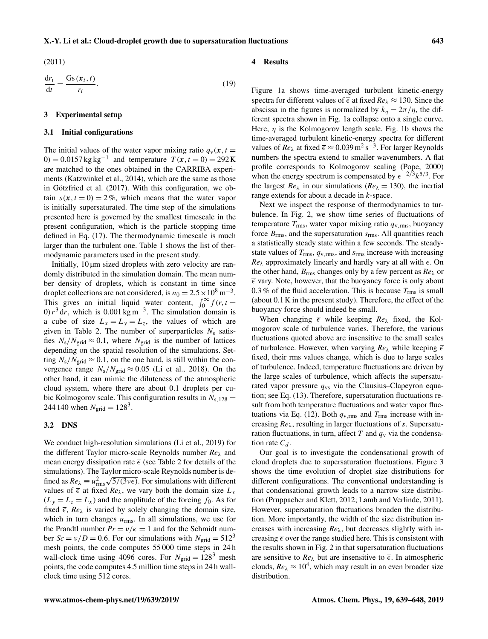#### X.-Y. Li et al.: Cloud-droplet growth due to supersaturation fluctuations 643

<span id="page-4-0"></span>[\(2011\)](#page-9-1)

$$
\frac{dr_i}{dt} = \frac{Gs(x_i, t)}{r_i}.
$$
\n(19)

#### 3 Experimental setup

# 3.1 Initial configurations

The initial values of the water vapor mixing ratio  $q_v(x, t)$ 0) = 0.0157 kg kg<sup>-1</sup> and temperature  $T(x, t = 0) = 292$  K are matched to the ones obtained in the CARRIBA experiments [\(Katzwinkel et al.,](#page-9-31) [2014\)](#page-9-31), which are the same as those in [Götzfried et al.](#page-8-9) [\(2017\)](#page-8-9). With this configuration, we obtain  $s(x, t = 0) = 2\%$ , which means that the water vapor is initially supersaturated. The time step of the simulations presented here is governed by the smallest timescale in the present configuration, which is the particle stopping time defined in Eq. [\(17\)](#page-3-3). The thermodynamic timescale is much larger than the turbulent one. Table [1](#page-3-2) shows the list of thermodynamic parameters used in the present study.

Initially, 10  $\mu$ m sized droplets with zero velocity are randomly distributed in the simulation domain. The mean number density of droplets, which is constant in time since droplet collections are not considered, is  $n_0 = 2.5 \times 10^8 \,\mathrm{m}^{-3}$ . This gives an initial liquid water content,  $\int_0^\infty f(r, t =$ 0)  $r^3$  dr, which is 0.001 kg m<sup>-3</sup>. The simulation domain is a cube of size  $L_x = L_y = L_z$ , the values of which are given in Table [2.](#page-5-0) The number of superparticles  $N_s$  satisfies  $N_s/N_{grid} \approx 0.1$ , where  $N_{grid}$  is the number of lattices depending on the spatial resolution of the simulations. Setting  $N_s/N_{\text{grid}} \approx 0.1$ , on the one hand, is still within the convergence range  $N_s/N_{grid} \approx 0.05$  [\(Li et al.,](#page-9-25) [2018\)](#page-9-25). On the other hand, it can mimic the diluteness of the atmospheric cloud system, where there are about 0.1 droplets per cubic Kolmogorov scale. This configuration results in  $N_{s,128} =$ 244 140 when  $N_{\text{grid}} = 128^3$ .

# 3.2 DNS

We conduct high-resolution simulations [\(Li et al.,](#page-9-32) [2019\)](#page-9-32) for the different Taylor micro-scale Reynolds number *Re*<sup>λ</sup> and mean energy dissipation rate  $\bar{\epsilon}$  (see Table [2](#page-5-0) for details of the simulations). The Taylor micro-scale Reynolds number is defined as  $Re_{\lambda} \equiv u_{\text{rms}}^2 \sqrt{5/(3v\bar{\epsilon})}$ . For simulations with different values of  $\bar{\epsilon}$  at fixed  $Re_{\lambda}$ , we vary both the domain size  $L_x$  $(L_y = L_z = L_x)$  and the amplitude of the forcing  $f_0$ . As for fixed  $\bar{\epsilon}$ ,  $Re_{\lambda}$  is varied by solely changing the domain size, which in turn changes  $u_{\rm rms}$ . In all simulations, we use for the Prandtl number  $Pr = v/\kappa = 1$  and for the Schmidt number  $Sc = v/D = 0.6$ . For our simulations with  $N_{grid} = 512<sup>3</sup>$ mesh points, the code computes 55 000 time steps in 24 h wall-clock time using 4096 cores. For  $N_{\text{grid}} = 128^3$  mesh points, the code computes 4.5 million time steps in 24 h wallclock time using 512 cores.

#### 4 Results

Figure [1a](#page-5-1) shows time-averaged turbulent kinetic-energy spectra for different values of  $\bar{\epsilon}$  at fixed  $Re_{\lambda} \approx 130$ . Since the abscissa in the figures is normalized by  $k_n = 2\pi/\eta$ , the different spectra shown in Fig. [1a](#page-5-1) collapse onto a single curve. Here,  $\eta$  is the Kolmogorov length scale. Fig. [1b](#page-5-1) shows the time-averaged turbulent kinetic-energy spectra for different values of  $Re_\lambda$  at fixed  $\bar{\epsilon} \approx 0.039 \,\mathrm{m}^2 \,\mathrm{s}^{-3}$ . For larger Reynolds numbers the spectra extend to smaller wavenumbers. A flat profile corresponds to Kolmogorov scaling [\(Pope,](#page-9-33) [2000\)](#page-9-33) when the energy spectrum is compensated by  $\bar{\epsilon}^{-2/3} k^{5/3}$ . For the largest  $Re_\lambda$  in our simulations ( $Re_\lambda = 130$ ), the inertial range extends for about a decade in k-space.

Next we inspect the response of thermodynamics to turbulence. In Fig. [2,](#page-6-0) we show time series of fluctuations of temperature  $T_{\text{rms}}$ , water vapor mixing ratio  $q_{\text{v,rms}}$ , buoyancy force  $B_{\rm rms}$ , and the supersaturation  $s_{\rm rms}$ . All quantities reach a statistically steady state within a few seconds. The steadystate values of  $T_{\rm rms}$ ,  $q_{\rm v,rms}$ , and  $s_{\rm rms}$  increase with increasing  $Re_{\lambda}$  approximately linearly and hardly vary at all with  $\bar{\epsilon}$ . On the other hand, Brms changes only by a few percent as *Re*<sup>λ</sup> or  $\overline{\epsilon}$  vary. Note, however, that the buoyancy force is only about 0.3 % of the fluid acceleration. This is because  $T_{\rm rms}$  is small (about 0.1 K in the present study). Therefore, the effect of the buoyancy force should indeed be small.

When changing  $\overline{\epsilon}$  while keeping  $Re_{\lambda}$  fixed, the Kolmogorov scale of turbulence varies. Therefore, the various fluctuations quoted above are insensitive to the small scales of turbulence. However, when varying  $Re_{\lambda}$  while keeping  $\bar{\epsilon}$ fixed, their rms values change, which is due to large scales of turbulence. Indeed, temperature fluctuations are driven by the large scales of turbulence, which affects the supersaturated vapor pressure  $q_{vs}$  via the Clausius–Clapeyron equation; see Eq. [\(13\)](#page-3-4). Therefore, supersaturation fluctuations result from both temperature fluctuations and water vapor fluc-tuations via Eq. [\(12\)](#page-3-5). Both  $q_{v,rms}$  and  $T_{rms}$  increase with increasing *Re*λ, resulting in larger fluctuations of s. Supersaturation fluctuations, in turn, affect T and  $q_v$  via the condensation rate  $C_d$ .

Our goal is to investigate the condensational growth of cloud droplets due to supersaturation fluctuations. Figure [3](#page-6-1) shows the time evolution of droplet size distributions for different configurations. The conventional understanding is that condensational growth leads to a narrow size distribution [\(Pruppacher and Klett,](#page-9-0) [2012;](#page-9-0) [Lamb and Verlinde,](#page-9-1) [2011\)](#page-9-1). However, supersaturation fluctuations broaden the distribution. More importantly, the width of the size distribution increases with increasing *Re*λ, but decreases slightly with increasing  $\bar{\epsilon}$  over the range studied here. This is consistent with the results shown in Fig. [2](#page-6-0) in that supersaturation fluctuations are sensitive to  $Re_{\lambda}$  but are insensitive to  $\overline{\epsilon}$ . In atmospheric clouds,  $Re_{\lambda} \approx 10^4$ , which may result in an even broader size distribution.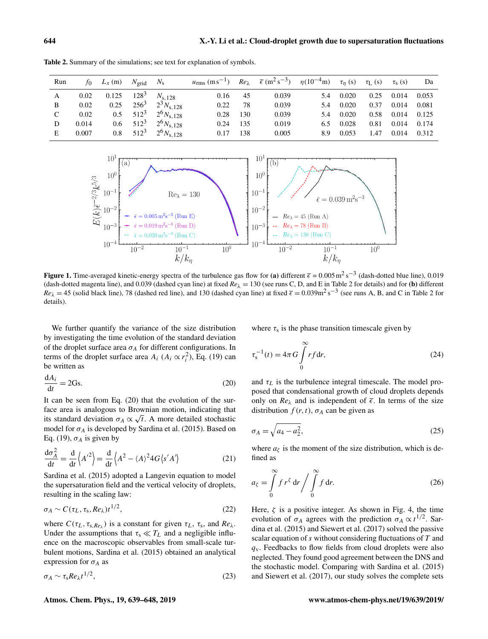| Run | to.   | $L_x(m)$ $N_{\text{grid}}$ |         | $N_{\rm s}$          | $u_{\rm rms}$ (ms <sup>-1</sup> ) |     | $Re_{\lambda}$ $\bar{\epsilon}$ (m <sup>2</sup> s <sup>-3</sup> ) $\eta$ (10 <sup>-4</sup> m) $\tau_{\eta}$ (s) $\tau_{\text{L}}$ (s) |     |       |      | $\tau_{\rm s}$ (s) | Da    |
|-----|-------|----------------------------|---------|----------------------|-----------------------------------|-----|---------------------------------------------------------------------------------------------------------------------------------------|-----|-------|------|--------------------|-------|
| A   | 0.02  | 0.125                      | $128^3$ | $N_{\rm s, 128}$     | 0.16                              | 45  | 0.039                                                                                                                                 | 5.4 | 0.020 | 0.25 | 0.014              | 0.053 |
| B   | 0.02  | 0.25                       | $256^3$ | $2^3 N_{\rm s, 128}$ | 0.22                              | 78  | 0.039                                                                                                                                 | 5.4 | 0.020 | 0.37 | 0.014              | 0.081 |
| C   | 0.02  | 0.5                        | $512^3$ | $2^6 N_{s,128}$      | 0.28                              | 130 | 0.039                                                                                                                                 | 5.4 | 0.020 | 0.58 | 0.014              | 0.125 |
| D   | 0.014 | 0.6                        | $512^3$ | $2^6 N_{\rm s, 128}$ | 0.24                              | 135 | 0.019                                                                                                                                 | 6.5 | 0.028 | 0.81 | 0.014              | 0.174 |
| E   | 0.007 | 0.8                        | $512^3$ | $2^6 N_{\rm s, 128}$ | 0.17                              | 138 | 0.005                                                                                                                                 | 8.9 | 0.053 | 1.47 | 0.014              | 0.312 |

<span id="page-5-0"></span>Table 2. Summary of the simulations; see text for explanation of symbols.

<span id="page-5-1"></span>

**Figure 1.** Time-averaged kinetic-energy spectra of the turbulence gas flow for (a) different  $\bar{\epsilon} = 0.005 \,\mathrm{m}^2 \,\mathrm{s}^{-3}$  (dash-dotted blue line), 0.019 (dash-dotted magenta line), and 0.039 (dashed cyan line) at fixed  $Re<sub>\lambda</sub> = 130$  (see runs C, D, and E in Table [2](#page-5-0) for details) and for (b) different  $Re_{\lambda} = 45$  (solid black line), 78 (dashed red line), and 130 (dashed cyan line) at fixed  $\bar{\epsilon} = 0.039 \text{m}^2 \text{ s}^{-3}$  $\bar{\epsilon} = 0.039 \text{m}^2 \text{ s}^{-3}$  $\bar{\epsilon} = 0.039 \text{m}^2 \text{ s}^{-3}$  (see runs A, B, and C in Table 2 for details).

We further quantify the variance of the size distribution by investigating the time evolution of the standard deviation of the droplet surface area  $\sigma_A$  for different configurations. In terms of the droplet surface area  $A_i$  ( $A_i \propto r_i^2$ ), Eq. [\(19\)](#page-4-0) can be written as

<span id="page-5-2"></span>
$$
\frac{\mathrm{d}A_i}{\mathrm{d}t} = 2\mathrm{Gs}.\tag{20}
$$

It can be seen from Eq. [\(20\)](#page-5-2) that the evolution of the surface area is analogous to Brownian motion, indicating that its standard deviation  $\sigma_A \propto \sqrt{t}$ . A more detailed stochastic model for  $\sigma_A$  is developed by [Sardina et al.](#page-9-13) [\(2015\)](#page-9-13). Based on Eq. [\(19\)](#page-4-0),  $\sigma_A$  is given by

$$
\frac{d\sigma_A^2}{dt} = \frac{d}{dt} \left\langle A'^2 \right\rangle = \frac{d}{dt} \left\langle A^2 - \langle A \rangle^2 4G \langle s' A' \rangle \right\}
$$
(21)

[Sardina et al.](#page-9-13) [\(2015\)](#page-9-13) adopted a Langevin equation to model the supersaturation field and the vertical velocity of droplets, resulting in the scaling law:

$$
\sigma_A \sim C(\tau_L, \tau_s, Re_\lambda) t^{1/2},\tag{22}
$$

where  $C(\tau_L, \tau_{s, Re_\lambda})$  is a constant for given  $\tau_L$ ,  $\tau_s$ , and  $Re_\lambda$ . Under the assumptions that  $\tau_s \ll T_L$  and a negligible influence on the macroscopic observables from small-scale turbulent motions, [Sardina et al.](#page-9-13) [\(2015\)](#page-9-13) obtained an analytical expression for  $\sigma_A$  as

<span id="page-5-3"></span>
$$
\sigma_A \sim \tau_s Re_\lambda t^{1/2},\tag{23}
$$

<span id="page-5-4"></span>where  $\tau_s$  is the phase transition timescale given by

$$
\tau_s^{-1}(t) = 4\pi G \int_0^\infty r f \, \mathrm{d}r,\tag{24}
$$

and  $\tau_L$  is the turbulence integral timescale. The model proposed that condensational growth of cloud droplets depends only on  $Re_{\lambda}$  and is independent of  $\overline{\epsilon}$ . In terms of the size distribution  $f(r, t)$ ,  $\sigma_A$  can be given as

$$
\sigma_A = \sqrt{a_4 - a_2^2},\tag{25}
$$

where  $a_{\zeta}$  is the moment of the size distribution, which is defined as

$$
a_{\zeta} = \int\limits_{0}^{\infty} f r^{\zeta} dr / \int\limits_{0}^{\infty} f dr.
$$
 (26)

Here,  $\zeta$  is a positive integer. As shown in Fig. [4,](#page-7-0) the time evolution of  $\sigma_A$  agrees with the prediction  $\sigma_A \propto t^{1/2}$ . [Sar](#page-9-13)[dina et al.](#page-9-13) [\(2015\)](#page-9-13) and [Siewert et al.](#page-9-18) [\(2017\)](#page-9-18) solved the passive scalar equation of  $s$  without considering fluctuations of  $T$  and  $q<sub>y</sub>$ . Feedbacks to flow fields from cloud droplets were also neglected. They found good agreement between the DNS and the stochastic model. Comparing with [Sardina et al.](#page-9-13) [\(2015\)](#page-9-13) and [Siewert et al.](#page-9-18) [\(2017\)](#page-9-18), our study solves the complete sets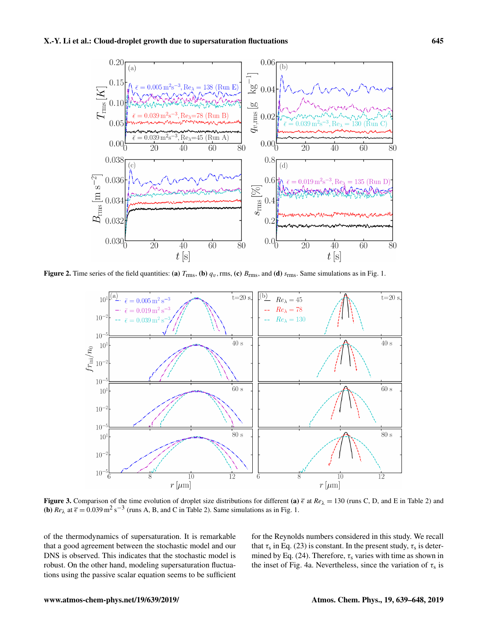<span id="page-6-0"></span>

<span id="page-6-1"></span>Figure 2. Time series of the field quantities: (a)  $T_{\text{rms}}$ , (b)  $q_v$ , rms, (c)  $B_{\text{rms}}$ , and (d)  $s_{\text{rms}}$ . Same simulations as in Fig. [1.](#page-5-1)



Figure 3. Comparison of the time evolution of droplet size distributions for different (a)  $\bar{\epsilon}$  at  $Re_{\lambda} = 130$  (runs C, D, and E in Table [2\)](#page-5-0) and **(b)**  $Re_\lambda$  at  $\bar{\epsilon} = 0.039 \text{ m}^2 \text{ s}^{-3}$  (runs A, B, and C in Table [2\)](#page-5-0). Same simulations as in Fig. [1.](#page-5-1)

of the thermodynamics of supersaturation. It is remarkable that a good agreement between the stochastic model and our DNS is observed. This indicates that the stochastic model is robust. On the other hand, modeling supersaturation fluctuations using the passive scalar equation seems to be sufficient for the Reynolds numbers considered in this study. We recall that  $\tau_s$  in Eq. [\(23\)](#page-5-3) is constant. In the present study,  $\tau_s$  is deter-mined by Eq. [\(24\)](#page-5-4). Therefore,  $\tau_s$  varies with time as shown in the inset of Fig. [4a](#page-7-0). Nevertheless, since the variation of  $\tau_s$  is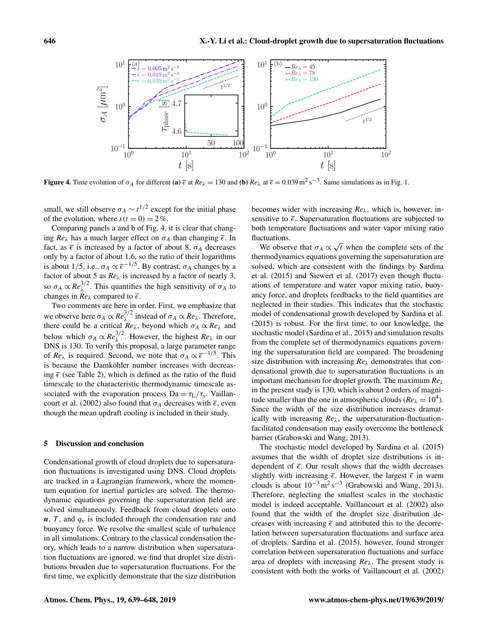<span id="page-7-0"></span>

**Figure 4.** Time evolution of  $\sigma_A$  for different (a)  $\bar{\epsilon}$  at  $Re_\lambda = 130$  and (b)  $Re_\lambda$  at  $\bar{\epsilon} = 0.039 \,\text{m}^2 \,\text{s}^{-3}$ . Same simulations as in Fig. [1.](#page-5-1)

small, we still observe  $\sigma_A \sim t^{1/2}$  except for the initial phase of the evolution, where  $s(t = 0) = 2\%$ .

Comparing panels a and b of Fig. [4,](#page-7-0) it is clear that changing  $Re_\lambda$  has a much larger effect on  $\sigma_A$  than changing  $\bar{\epsilon}$ . In fact, as  $\overline{\epsilon}$  is increased by a factor of about 8,  $\sigma_A$  decreases only by a factor of about 1.6, so the ratio of their logarithms is about 1/5, i.e.,  $\sigma_A \propto \overline{\epsilon}^{-1/5}$ . By contrast,  $\sigma_A$  changes by a factor of about 5 as  $Re_{\lambda}$  is increased by a factor of nearly 3, so  $\sigma_A \propto Re_{\lambda}^{3/2}$ . This quantifies the high sensitivity of  $\sigma_A$  to changes in  $Re_{\lambda}$  compared to  $\overline{\epsilon}$ .

Two comments are here in order. First, we emphasize that we observe here  $\sigma_A \propto Re_{\lambda}^{3/2}$  instead of  $\sigma_A \propto Re_{\lambda}$ . Therefore, there could be a critical  $Re_{\lambda}$ , beyond which  $\sigma_A \propto Re_{\lambda}$  and below which  $\sigma_A \propto Re_{\lambda}^{3/2}$ . However, the highest  $Re_{\lambda}$  in our DNS is 130. To verify this proposal, a large parameter range of  $Re_\lambda$  is required. Second, we note that  $\sigma_A \propto \overline{\epsilon}^{-1/5}$ . This is because the Damköhler number increases with decreasing  $\bar{\epsilon}$  (see Table [2\)](#page-5-0), which is defined as the ratio of the fluid timescale to the characteristic thermodynamic timescale associated with the evaporation process  $Da = \tau_L / \tau_s$ . [Vaillan](#page-9-15)[court et al.](#page-9-15) [\(2002\)](#page-9-15) also found that  $\sigma_A$  decreases with  $\bar{\epsilon}$ , even though the mean updraft cooling is included in their study.

# 5 Discussion and conclusion

Condensational growth of cloud droplets due to supersaturation fluctuations is investigated using DNS. Cloud droplets are tracked in a Lagrangian framework, where the momentum equation for inertial particles are solved. The thermodynamic equations governing the supersaturation field are solved simultaneously. Feedback from cloud droplets onto  $u, T$ , and  $q<sub>v</sub>$  is included through the condensation rate and buoyancy force. We resolve the smallest scale of turbulence in all simulations. Contrary to the classical condensation theory, which leads to a narrow distribution when supersaturation fluctuations are ignored, we find that droplet size distributions broaden due to supersaturation fluctuations. For the first time, we explicitly demonstrate that the size distribution becomes wider with increasing *Re*λ, which is, however, insensitive to  $\bar{\epsilon}$ . Supersaturation fluctuations are subjected to both temperature fluctuations and water vapor mixing ratio fluctuations.

ctuations.<br>We observe that  $\sigma_A \propto \sqrt{ }$ t when the complete sets of the thermodynamics equations governing the supersaturation are solved, which are consistent with the findings by [Sardina](#page-9-13) [et al.](#page-9-13) [\(2015\)](#page-9-13) and [Siewert et al.](#page-9-18) [\(2017\)](#page-9-18) even though fluctuations of temperature and water vapor mixing ratio, buoyancy force, and droplets feedbacks to the field quantities are neglected in their studies. This indicates that the stochastic model of condensational growth developed by [Sardina et al.](#page-9-13) [\(2015\)](#page-9-13) is robust. For the first time, to our knowledge, the stochastic model [\(Sardina et al.,](#page-9-13) [2015\)](#page-9-13) and simulation results from the complete set of thermodynamics equations governing the supersaturation field are compared. The broadening size distribution with increasing  $Re_\lambda$  demonstrates that condensational growth due to supersaturation fluctuations is an important mechanism for droplet growth. The maximum *Re*<sup>λ</sup> in the present study is 130, which is about 2 orders of magnitude smaller than the one in atmospheric clouds ( $Re_\lambda = 10^4$ ). Since the width of the size distribution increases dramatically with increasing *Re*λ, the supersaturation-fluctuationfacilitated condensation may easily overcome the bottleneck barrier [\(Grabowski and Wang,](#page-8-1) [2013\)](#page-8-1).

The stochastic model developed by [Sardina et al.](#page-9-13) [\(2015\)](#page-9-13) assumes that the width of droplet size distributions is independent of  $\overline{\epsilon}$ . Our result shows that the width decreases slightly with increasing  $\bar{\epsilon}$ . However, the largest  $\bar{\epsilon}$  in warm clouds is about  $10^{-3}$  m<sup>2</sup> s<sup>-3</sup> [\(Grabowski and Wang,](#page-8-1) [2013\)](#page-8-1). Therefore, neglecting the smallest scales in the stochastic model is indeed acceptable. [Vaillancourt et al.](#page-9-15) [\(2002\)](#page-9-15) also found that the width of the droplet size distribution decreases with increasing  $\bar{\epsilon}$  and attributed this to the decorrelation between supersaturation fluctuations and surface area of droplets. [Sardina et al.](#page-9-13) [\(2015\)](#page-9-13), however, found stronger correlation between supersaturation fluctuations and surface area of droplets with increasing *Re*λ. The present study is consistent with both the works of [Vaillancourt et al.](#page-9-15) [\(2002\)](#page-9-15)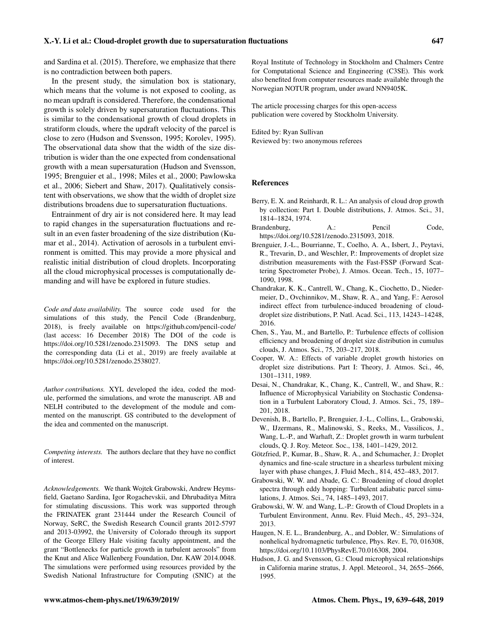and [Sardina et al.](#page-9-13) [\(2015\)](#page-9-13). Therefore, we emphasize that there is no contradiction between both papers.

In the present study, the simulation box is stationary, which means that the volume is not exposed to cooling, as no mean updraft is considered. Therefore, the condensational growth is solely driven by supersaturation fluctuations. This is similar to the condensational growth of cloud droplets in stratiform clouds, where the updraft velocity of the parcel is close to zero [\(Hudson and Svensson,](#page-8-3) [1995;](#page-8-3) [Korolev,](#page-9-11) [1995\)](#page-9-11). The observational data show that the width of the size distribution is wider than the one expected from condensational growth with a mean supersaturation [\(Hudson and Svensson,](#page-8-3) [1995;](#page-8-3) [Brenguier et al.,](#page-8-10) [1998;](#page-8-10) [Miles et al.,](#page-9-20) [2000;](#page-9-20) [Pawlowska](#page-9-6) [et al.,](#page-9-6) [2006;](#page-9-6) [Siebert and Shaw,](#page-9-7) [2017\)](#page-9-7). Qualitatively consistent with observations, we show that the width of droplet size distributions broadens due to supersaturation fluctuations.

Entrainment of dry air is not considered here. It may lead to rapid changes in the supersaturation fluctuations and result in an even faster broadening of the size distribution [\(Ku](#page-9-24)[mar et al.,](#page-9-24) [2014\)](#page-9-24). Activation of aerosols in a turbulent environment is omitted. This may provide a more physical and realistic initial distribution of cloud droplets. Incorporating all the cloud microphysical processes is computationally demanding and will have be explored in future studies.

*Code and data availability.* The source code used for the simulations of this study, the Pencil Code [\(Brandenburg,](#page-8-11) [2018\)](#page-8-11), is freely available on <https://github.com/pencil-code/> (last access: 16 December 2018) The DOI of the code is https://doi.org[/10.5281/zenodo.2315093.](https://doi.org/10.5281/zenodo.2315093) The DNS setup and the corresponding data [\(Li et al.,](#page-9-32) [2019\)](#page-9-32) are freely available at https://doi.org[/10.5281/zenodo.2538027.](https://doi.org/10.5281/zenodo.2538027)

*Author contributions.* XYL developed the idea, coded the module, performed the simulations, and wrote the manuscript. AB and NELH contributed to the development of the module and commented on the manuscript. GS contributed to the development of the idea and commented on the manuscript.

*Competing interests.* The authors declare that they have no conflict of interest.

*Acknowledgements.* We thank Wojtek Grabowski, Andrew Heymsfield, Gaetano Sardina, Igor Rogachevskii, and Dhrubaditya Mitra for stimulating discussions. This work was supported through the FRINATEK grant 231444 under the Research Council of Norway, SeRC, the Swedish Research Council grants 2012-5797 and 2013-03992, the University of Colorado through its support of the George Ellery Hale visiting faculty appointment, and the grant "Bottlenecks for particle growth in turbulent aerosols" from the Knut and Alice Wallenberg Foundation, Dnr. KAW 2014.0048. The simulations were performed using resources provided by the Swedish National Infrastructure for Computing (SNIC) at the

Royal Institute of Technology in Stockholm and Chalmers Centre for Computational Science and Engineering (C3SE). This work also benefited from computer resources made available through the Norwegian NOTUR program, under award NN9405K.

The article processing charges for this open-access publication were covered by Stockholm University.

Edited by: Ryan Sullivan Reviewed by: two anonymous referees

#### References

- <span id="page-8-2"></span>Berry, E. X. and Reinhardt, R. L.: An analysis of cloud drop growth by collection: Part I. Double distributions, J. Atmos. Sci., 31, 1814–1824, 1974.
- <span id="page-8-11"></span>Brandenburg, A.: Pencil Code, https://doi.org[/10.5281/zenodo.2315093,](https://doi.org/10.5281/zenodo.2315093) 2018.
- <span id="page-8-10"></span>Brenguier, J.-L., Bourrianne, T., Coelho, A. A., Isbert, J., Peytavi, R., Trevarin, D., and Weschler, P.: Improvements of droplet size distribution measurements with the Fast-FSSP (Forward Scattering Spectrometer Probe), J. Atmos. Ocean. Tech., 15, 1077– 1090, 1998.
- <span id="page-8-7"></span>Chandrakar, K. K., Cantrell, W., Chang, K., Ciochetto, D., Niedermeier, D., Ovchinnikov, M., Shaw, R. A., and Yang, F.: Aerosol indirect effect from turbulence-induced broadening of clouddroplet size distributions, P. Natl. Acad. Sci., 113, 14243–14248, 2016.
- <span id="page-8-6"></span>Chen, S., Yau, M., and Bartello, P.: Turbulence effects of collision efficiency and broadening of droplet size distribution in cumulus clouds, J. Atmos. Sci., 75, 203–217, 2018.
- <span id="page-8-4"></span>Cooper, W. A.: Effects of variable droplet growth histories on droplet size distributions. Part I: Theory, J. Atmos. Sci., 46, 1301–1311, 1989.
- <span id="page-8-8"></span>Desai, N., Chandrakar, K., Chang, K., Cantrell, W., and Shaw, R.: Influence of Microphysical Variability on Stochastic Condensation in a Turbulent Laboratory Cloud, J. Atmos. Sci., 75, 189– 201, 2018.
- <span id="page-8-0"></span>Devenish, B., Bartello, P., Brenguier, J.-L., Collins, L., Grabowski, W., IJzermans, R., Malinowski, S., Reeks, M., Vassilicos, J., Wang, L.-P., and Warhaft, Z.: Droplet growth in warm turbulent clouds, Q. J. Roy. Meteor. Soc., 138, 1401–1429, 2012.
- <span id="page-8-9"></span>Götzfried, P., Kumar, B., Shaw, R. A., and Schumacher, J.: Droplet dynamics and fine-scale structure in a shearless turbulent mixing layer with phase changes, J. Fluid Mech., 814, 452–483, 2017.
- <span id="page-8-5"></span>Grabowski, W. W. and Abade, G. C.: Broadening of cloud droplet spectra through eddy hopping: Turbulent adiabatic parcel simulations, J. Atmos. Sci., 74, 1485–1493, 2017.
- <span id="page-8-1"></span>Grabowski, W. W. and Wang, L.-P.: Growth of Cloud Droplets in a Turbulent Environment, Annu. Rev. Fluid Mech., 45, 293–324, 2013.
- <span id="page-8-12"></span>Haugen, N. E. L., Brandenburg, A., and Dobler, W.: Simulations of nonhelical hydromagnetic turbulence, Phys. Rev. E, 70, 016308, https://doi.org[/10.1103/PhysRevE.70.016308,](https://doi.org/10.1103/PhysRevE.70.016308) 2004.
- <span id="page-8-3"></span>Hudson, J. G. and Svensson, G.: Cloud microphysical relationships in California marine stratus, J. Appl. Meteorol., 34, 2655–2666, 1995.